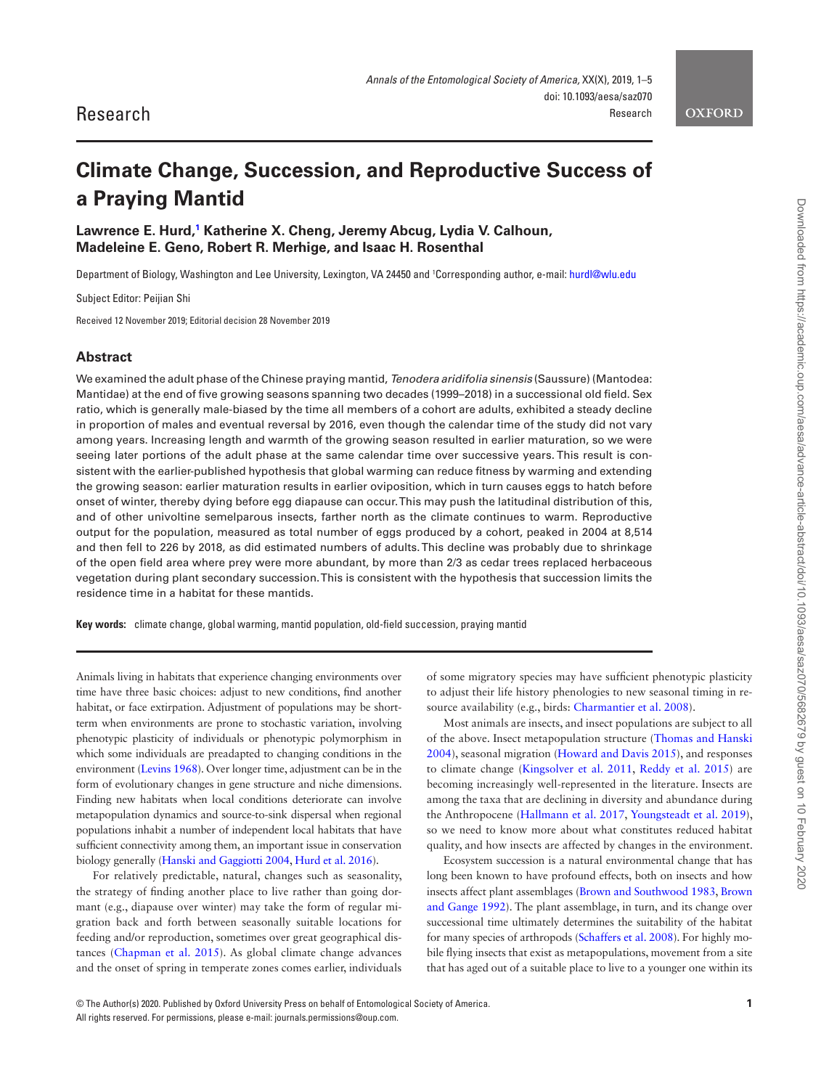# **Climate Change, Succession, and Reproductive Success of a Praying Mantid**

**Lawrence E. Hurd, [1](#page-0-0) Katherine X. Cheng, Jeremy Abcug, Lydia V. Calhoun, Madeleine E. Geno, Robert R. Merhige, and Isaac H. Rosenthal**

<span id="page-0-0"></span>Department of Biology, Washington and Lee University, Lexington, VA 24450 and 1 Corresponding author, e-mail: [hurdl@wlu.edu](mailto:hurdl@wlu.edu?subject=)

Subject Editor: Peijian Shi

Received 12 November 2019; Editorial decision 28 November 2019

## **Abstract**

We examined the adult phase of the Chinese praying mantid, *Tenodera aridifolia sinensis* (Saussure) (Mantodea: Mantidae) at the end of five growing seasons spanning two decades (1999–2018) in a successional old field. Sex ratio, which is generally male-biased by the time all members of a cohort are adults, exhibited a steady decline in proportion of males and eventual reversal by 2016, even though the calendar time of the study did not vary among years. Increasing length and warmth of the growing season resulted in earlier maturation, so we were seeing later portions of the adult phase at the same calendar time over successive years. This result is consistent with the earlier-published hypothesis that global warming can reduce fitness by warming and extending the growing season: earlier maturation results in earlier oviposition, which in turn causes eggs to hatch before onset of winter, thereby dying before egg diapause can occur. This may push the latitudinal distribution of this, and of other univoltine semelparous insects, farther north as the climate continues to warm. Reproductive output for the population, measured as total number of eggs produced by a cohort, peaked in 2004 at 8,514 and then fell to 226 by 2018, as did estimated numbers of adults. This decline was probably due to shrinkage of the open field area where prey were more abundant, by more than 2/3 as cedar trees replaced herbaceous vegetation during plant secondary succession. This is consistent with the hypothesis that succession limits the residence time in a habitat for these mantids.

**Key words:** climate change, global warming, mantid population, old-field succession, praying mantid

Animals living in habitats that experience changing environments over time have three basic choices: adjust to new conditions, find another habitat, or face extirpation. Adjustment of populations may be shortterm when environments are prone to stochastic variation, involving phenotypic plasticity of individuals or phenotypic polymorphism in which some individuals are preadapted to changing conditions in the environment [\(Levins 1968\)](#page-4-0). Over longer time, adjustment can be in the form of evolutionary changes in gene structure and niche dimensions. Finding new habitats when local conditions deteriorate can involve metapopulation dynamics and source-to-sink dispersal when regional populations inhabit a number of independent local habitats that have sufficient connectivity among them, an important issue in conservation biology generally [\(Hanski and Gaggiotti 2004](#page-4-1), [Hurd et al. 2016\)](#page-4-2).

For relatively predictable, natural, changes such as seasonality, the strategy of finding another place to live rather than going dormant (e.g., diapause over winter) may take the form of regular migration back and forth between seasonally suitable locations for feeding and/or reproduction, sometimes over great geographical distances ([Chapman et al. 2015\)](#page-3-0). As global climate change advances and the onset of spring in temperate zones comes earlier, individuals

of some migratory species may have sufficient phenotypic plasticity to adjust their life history phenologies to new seasonal timing in resource availability (e.g., birds: [Charmantier et al. 2008\)](#page-3-1).

Most animals are insects, and insect populations are subject to all of the above. Insect metapopulation structure ([Thomas and Hanski](#page-4-3)  [2004](#page-4-3)), seasonal migration ([Howard and Davis 2015](#page-4-4)), and responses to climate change [\(Kingsolver et al. 2011](#page-4-5), [Reddy et al. 2015\)](#page-4-6) are becoming increasingly well-represented in the literature. Insects are among the taxa that are declining in diversity and abundance during the Anthropocene ([Hallmann et al. 2017,](#page-4-7) [Youngsteadt et al. 2019](#page-4-8)), so we need to know more about what constitutes reduced habitat quality, and how insects are affected by changes in the environment.

Ecosystem succession is a natural environmental change that has long been known to have profound effects, both on insects and how insects affect plant assemblages [\(Brown and Southwood 1983,](#page-3-2) [Brown](#page-3-3)  [and Gange 1992](#page-3-3)). The plant assemblage, in turn, and its change over successional time ultimately determines the suitability of the habitat for many species of arthropods ([Schaffers et al. 2008\)](#page-4-9). For highly mobile flying insects that exist as metapopulations, movement from a site that has aged out of a suitable place to live to a younger one within its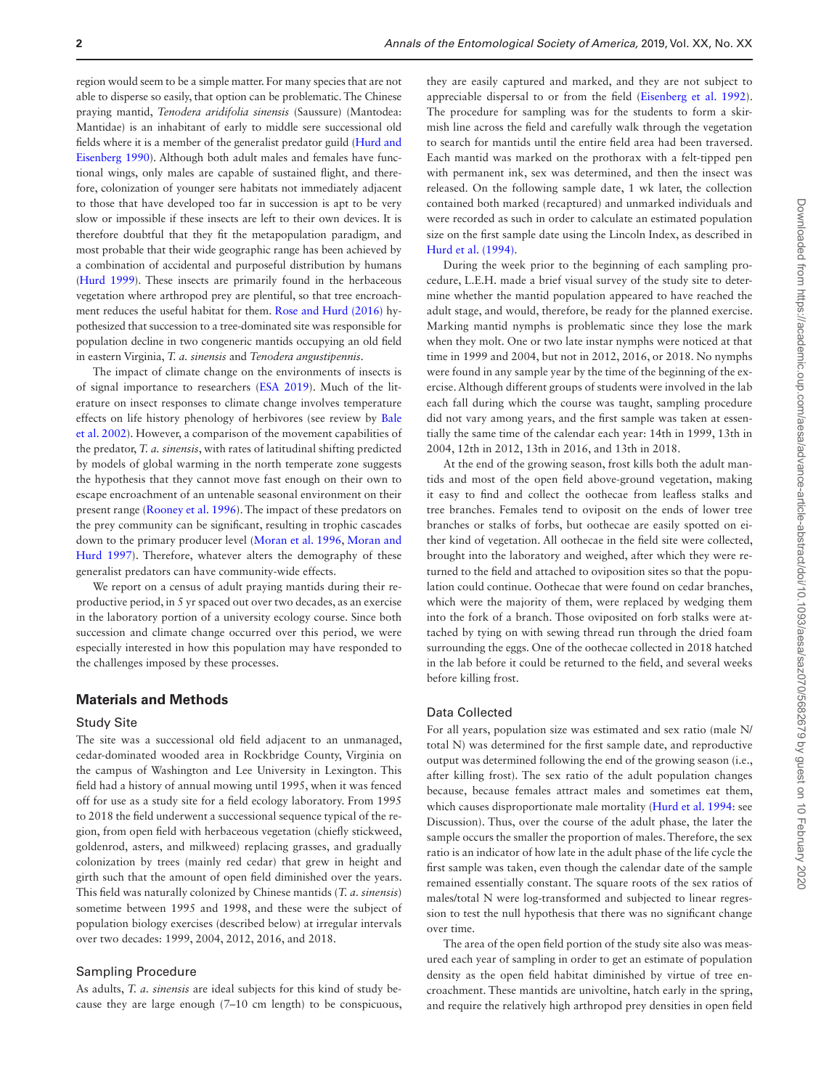region would seem to be a simple matter. For many species that are not able to disperse so easily, that option can be problematic. The Chinese praying mantid, *Tenodera aridifolia sinensis* (Saussure) (Mantodea: Mantidae) is an inhabitant of early to middle sere successional old fields where it is a member of the generalist predator guild [\(Hurd and](#page-4-10)  [Eisenberg 1990](#page-4-10)). Although both adult males and females have functional wings, only males are capable of sustained flight, and therefore, colonization of younger sere habitats not immediately adjacent to those that have developed too far in succession is apt to be very slow or impossible if these insects are left to their own devices. It is therefore doubtful that they fit the metapopulation paradigm, and most probable that their wide geographic range has been achieved by a combination of accidental and purposeful distribution by humans [\(Hurd 1999\)](#page-4-11). These insects are primarily found in the herbaceous vegetation where arthropod prey are plentiful, so that tree encroachment reduces the useful habitat for them. [Rose and Hurd \(2016\)](#page-4-12) hypothesized that succession to a tree-dominated site was responsible for population decline in two congeneric mantids occupying an old field in eastern Virginia, *T. a. sinensis* and *Tenodera angustipennis*.

The impact of climate change on the environments of insects is of signal importance to researchers [\(ESA 2019](#page-4-13)). Much of the literature on insect responses to climate change involves temperature effects on life history phenology of herbivores (see review by [Bale](#page-3-4)  [et al. 2002\)](#page-3-4). However, a comparison of the movement capabilities of the predator, *T. a. sinensis*, with rates of latitudinal shifting predicted by models of global warming in the north temperate zone suggests the hypothesis that they cannot move fast enough on their own to escape encroachment of an untenable seasonal environment on their present range [\(Rooney et al. 1996\)](#page-4-14). The impact of these predators on the prey community can be significant, resulting in trophic cascades down to the primary producer level [\(Moran et al. 1996](#page-4-15), [Moran and](#page-4-16)  [Hurd 1997\)](#page-4-16). Therefore, whatever alters the demography of these generalist predators can have community-wide effects.

We report on a census of adult praying mantids during their reproductive period, in 5 yr spaced out over two decades, as an exercise in the laboratory portion of a university ecology course. Since both succession and climate change occurred over this period, we were especially interested in how this population may have responded to the challenges imposed by these processes.

# **Materials and Methods**

#### Study Site

The site was a successional old field adjacent to an unmanaged, cedar-dominated wooded area in Rockbridge County, Virginia on the campus of Washington and Lee University in Lexington. This field had a history of annual mowing until 1995, when it was fenced off for use as a study site for a field ecology laboratory. From 1995 to 2018 the field underwent a successional sequence typical of the region, from open field with herbaceous vegetation (chiefly stickweed, goldenrod, asters, and milkweed) replacing grasses, and gradually colonization by trees (mainly red cedar) that grew in height and girth such that the amount of open field diminished over the years. This field was naturally colonized by Chinese mantids (*T. a. sinensis*) sometime between 1995 and 1998, and these were the subject of population biology exercises (described below) at irregular intervals over two decades: 1999, 2004, 2012, 2016, and 2018.

#### Sampling Procedure

As adults, *T. a. sinensis* are ideal subjects for this kind of study because they are large enough (7–10 cm length) to be conspicuous,

they are easily captured and marked, and they are not subject to appreciable dispersal to or from the field [\(Eisenberg et al. 1992](#page-4-17)). The procedure for sampling was for the students to form a skirmish line across the field and carefully walk through the vegetation to search for mantids until the entire field area had been traversed. Each mantid was marked on the prothorax with a felt-tipped pen with permanent ink, sex was determined, and then the insect was released. On the following sample date, 1 wk later, the collection contained both marked (recaptured) and unmarked individuals and were recorded as such in order to calculate an estimated population size on the first sample date using the Lincoln Index, as described in [Hurd et al. \(1994\)](#page-4-18).

During the week prior to the beginning of each sampling procedure, L.E.H. made a brief visual survey of the study site to determine whether the mantid population appeared to have reached the adult stage, and would, therefore, be ready for the planned exercise. Marking mantid nymphs is problematic since they lose the mark when they molt. One or two late instar nymphs were noticed at that time in 1999 and 2004, but not in 2012, 2016, or 2018. No nymphs were found in any sample year by the time of the beginning of the exercise. Although different groups of students were involved in the lab each fall during which the course was taught, sampling procedure did not vary among years, and the first sample was taken at essentially the same time of the calendar each year: 14th in 1999, 13th in 2004, 12th in 2012, 13th in 2016, and 13th in 2018.

At the end of the growing season, frost kills both the adult mantids and most of the open field above-ground vegetation, making it easy to find and collect the oothecae from leafless stalks and tree branches. Females tend to oviposit on the ends of lower tree branches or stalks of forbs, but oothecae are easily spotted on either kind of vegetation. All oothecae in the field site were collected, brought into the laboratory and weighed, after which they were returned to the field and attached to oviposition sites so that the population could continue. Oothecae that were found on cedar branches, which were the majority of them, were replaced by wedging them into the fork of a branch. Those oviposited on forb stalks were attached by tying on with sewing thread run through the dried foam surrounding the eggs. One of the oothecae collected in 2018 hatched in the lab before it could be returned to the field, and several weeks before killing frost.

#### Data Collected

For all years, population size was estimated and sex ratio (male N/ total N) was determined for the first sample date, and reproductive output was determined following the end of the growing season (i.e., after killing frost). The sex ratio of the adult population changes because, because females attract males and sometimes eat them, which causes disproportionate male mortality ([Hurd et al. 1994](#page-4-18): see Discussion). Thus, over the course of the adult phase, the later the sample occurs the smaller the proportion of males. Therefore, the sex ratio is an indicator of how late in the adult phase of the life cycle the first sample was taken, even though the calendar date of the sample remained essentially constant. The square roots of the sex ratios of males/total N were log-transformed and subjected to linear regression to test the null hypothesis that there was no significant change over time.

The area of the open field portion of the study site also was measured each year of sampling in order to get an estimate of population density as the open field habitat diminished by virtue of tree encroachment. These mantids are univoltine, hatch early in the spring, and require the relatively high arthropod prey densities in open field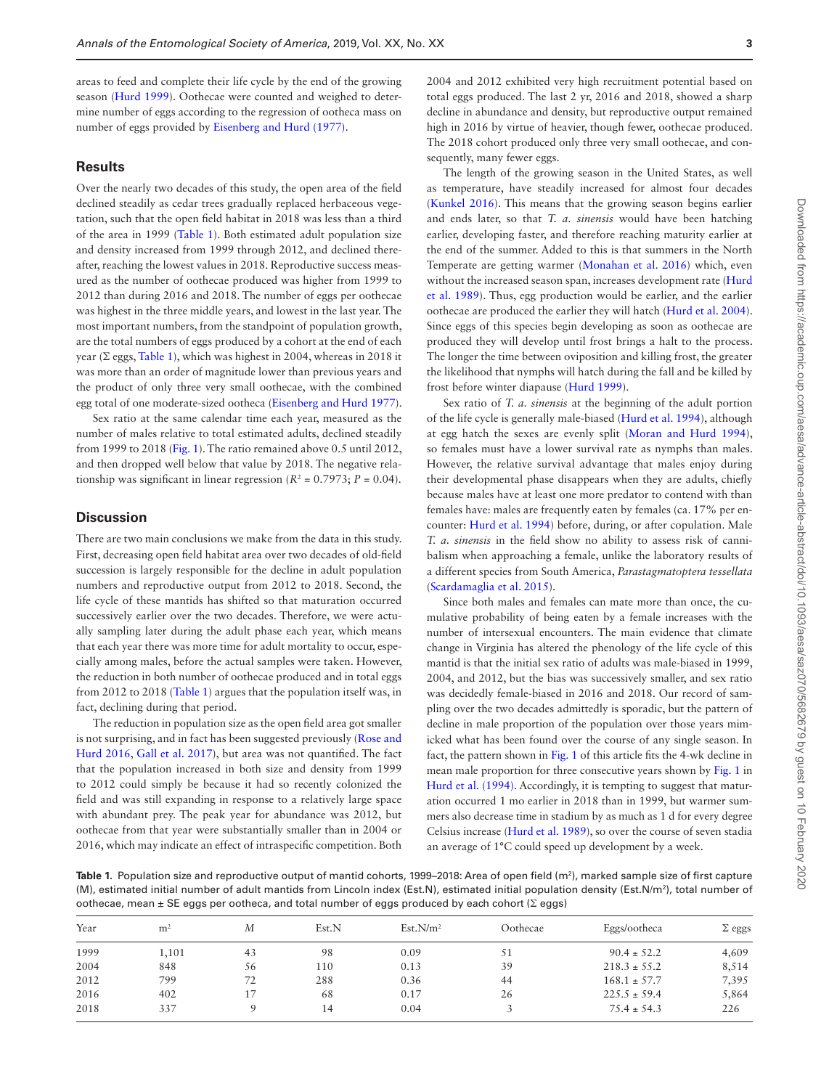areas to feed and complete their life cycle by the end of the growing season [\(Hurd 1999](#page-4-11)). Oothecae were counted and weighed to determine number of eggs according to the regression of ootheca mass on number of eggs provided by [Eisenberg and Hurd \(1977\)](#page-4-19).

## **Results**

Over the nearly two decades of this study, the open area of the field declined steadily as cedar trees gradually replaced herbaceous vegetation, such that the open field habitat in 2018 was less than a third of the area in 1999 [\(Table 1](#page-2-0)). Both estimated adult population size and density increased from 1999 through 2012, and declined thereafter, reaching the lowest values in 2018. Reproductive success measured as the number of oothecae produced was higher from 1999 to 2012 than during 2016 and 2018. The number of eggs per oothecae was highest in the three middle years, and lowest in the last year. The most important numbers, from the standpoint of population growth, are the total numbers of eggs produced by a cohort at the end of each year (Σ eggs, [Table 1](#page-2-0)), which was highest in 2004, whereas in 2018 it was more than an order of magnitude lower than previous years and the product of only three very small oothecae, with the combined egg total of one moderate-sized ootheca [\(Eisenberg and Hurd 1977](#page-4-19)).

Sex ratio at the same calendar time each year, measured as the number of males relative to total estimated adults, declined steadily from 1999 to 2018 ([Fig. 1\)](#page-3-5). The ratio remained above 0.5 until 2012, and then dropped well below that value by 2018. The negative relationship was significant in linear regression ( $R^2 = 0.7973$ ;  $P = 0.04$ ).

### **Discussion**

There are two main conclusions we make from the data in this study. First, decreasing open field habitat area over two decades of old-field succession is largely responsible for the decline in adult population numbers and reproductive output from 2012 to 2018. Second, the life cycle of these mantids has shifted so that maturation occurred successively earlier over the two decades. Therefore, we were actually sampling later during the adult phase each year, which means that each year there was more time for adult mortality to occur, especially among males, before the actual samples were taken. However, the reduction in both number of oothecae produced and in total eggs from 2012 to 2018 ([Table 1\)](#page-2-0) argues that the population itself was, in fact, declining during that period.

The reduction in population size as the open field area got smaller is not surprising, and in fact has been suggested previously [\(Rose and](#page-4-12)  [Hurd 2016,](#page-4-12) [Gall et al. 2017\)](#page-4-20), but area was not quantified. The fact that the population increased in both size and density from 1999 to 2012 could simply be because it had so recently colonized the field and was still expanding in response to a relatively large space with abundant prey. The peak year for abundance was 2012, but oothecae from that year were substantially smaller than in 2004 or 2016, which may indicate an effect of intraspecific competition. Both

2004 and 2012 exhibited very high recruitment potential based on total eggs produced. The last 2 yr, 2016 and 2018, showed a sharp decline in abundance and density, but reproductive output remained high in 2016 by virtue of heavier, though fewer, oothecae produced. The 2018 cohort produced only three very small oothecae, and consequently, many fewer eggs.

The length of the growing season in the United States, as well as temperature, have steadily increased for almost four decades [\(Kunkel 2016](#page-4-21)). This means that the growing season begins earlier and ends later, so that *T. a. sinensis* would have been hatching earlier, developing faster, and therefore reaching maturity earlier at the end of the summer. Added to this is that summers in the North Temperate are getting warmer [\(Monahan et al. 2016\)](#page-4-22) which, even without the increased season span, increases development rate ([Hurd](#page-4-23)  [et al. 1989](#page-4-23)). Thus, egg production would be earlier, and the earlier oothecae are produced the earlier they will hatch ([Hurd et al. 2004](#page-4-24)). Since eggs of this species begin developing as soon as oothecae are produced they will develop until frost brings a halt to the process. The longer the time between oviposition and killing frost, the greater the likelihood that nymphs will hatch during the fall and be killed by frost before winter diapause [\(Hurd 1999](#page-4-11)).

Sex ratio of *T. a. sinensis* at the beginning of the adult portion of the life cycle is generally male-biased [\(Hurd et al. 1994](#page-4-18)), although at egg hatch the sexes are evenly split ([Moran and Hurd 1994](#page-4-25)), so females must have a lower survival rate as nymphs than males. However, the relative survival advantage that males enjoy during their developmental phase disappears when they are adults, chiefly because males have at least one more predator to contend with than females have: males are frequently eaten by females (ca. 17% per encounter: [Hurd et al. 1994](#page-4-18)) before, during, or after copulation. Male *T. a. sinensis* in the field show no ability to assess risk of cannibalism when approaching a female, unlike the laboratory results of a different species from South America, *Parastagmatoptera tessellata* [\(Scardamaglia et al. 2015](#page-4-26)).

Since both males and females can mate more than once, the cumulative probability of being eaten by a female increases with the number of intersexual encounters. The main evidence that climate change in Virginia has altered the phenology of the life cycle of this mantid is that the initial sex ratio of adults was male-biased in 1999, 2004, and 2012, but the bias was successively smaller, and sex ratio was decidedly female-biased in 2016 and 2018. Our record of sampling over the two decades admittedly is sporadic, but the pattern of decline in male proportion of the population over those years mimicked what has been found over the course of any single season. In fact, the pattern shown in [Fig. 1](#page-3-5) of this article fits the 4-wk decline in mean male proportion for three consecutive years shown by [Fig. 1](#page-3-5) in [Hurd et al. \(1994\)](#page-4-18). Accordingly, it is tempting to suggest that maturation occurred 1 mo earlier in 2018 than in 1999, but warmer summers also decrease time in stadium by as much as 1 d for every degree Celsius increase ([Hurd et al. 1989](#page-4-23)), so over the course of seven stadia an average of 1°C could speed up development by a week.

<span id="page-2-0"></span>**Table 1.** Population size and reproductive output of mantid cohorts, 1999–2018: Area of open field (m²), marked sample size of first capture (M), estimated initial number of adult mantids from Lincoln index (Est.N), estimated initial population density (Est.N/m<sup>2</sup>), total number of oothecae, mean ± SE eggs per ootheca, and total number of eggs produced by each cohort (Σ eggs)

| Year | m <sup>2</sup> | М  | Est.N | Est.N/m <sup>2</sup> | Oothecae | Eggs/ootheca     | $\Sigma$ eggs |
|------|----------------|----|-------|----------------------|----------|------------------|---------------|
| 1999 | 1.101          | 43 | 98    | 0.09                 | 51       | $90.4 \pm 52.2$  | 4,609         |
| 2004 | 848            | 56 | 110   | 0.13                 | 39       | $218.3 \pm 55.2$ | 8,514         |
| 2012 | 799            | 72 | 288   | 0.36                 | 44       | $168.1 \pm 57.7$ | 7,395         |
| 2016 | 402            | 17 | 68    | 0.17                 | 26       | $225.5 \pm 59.4$ | 5,864         |
| 2018 | 337            |    | 14    | 0.04                 |          | $75.4 \pm 54.3$  | 226           |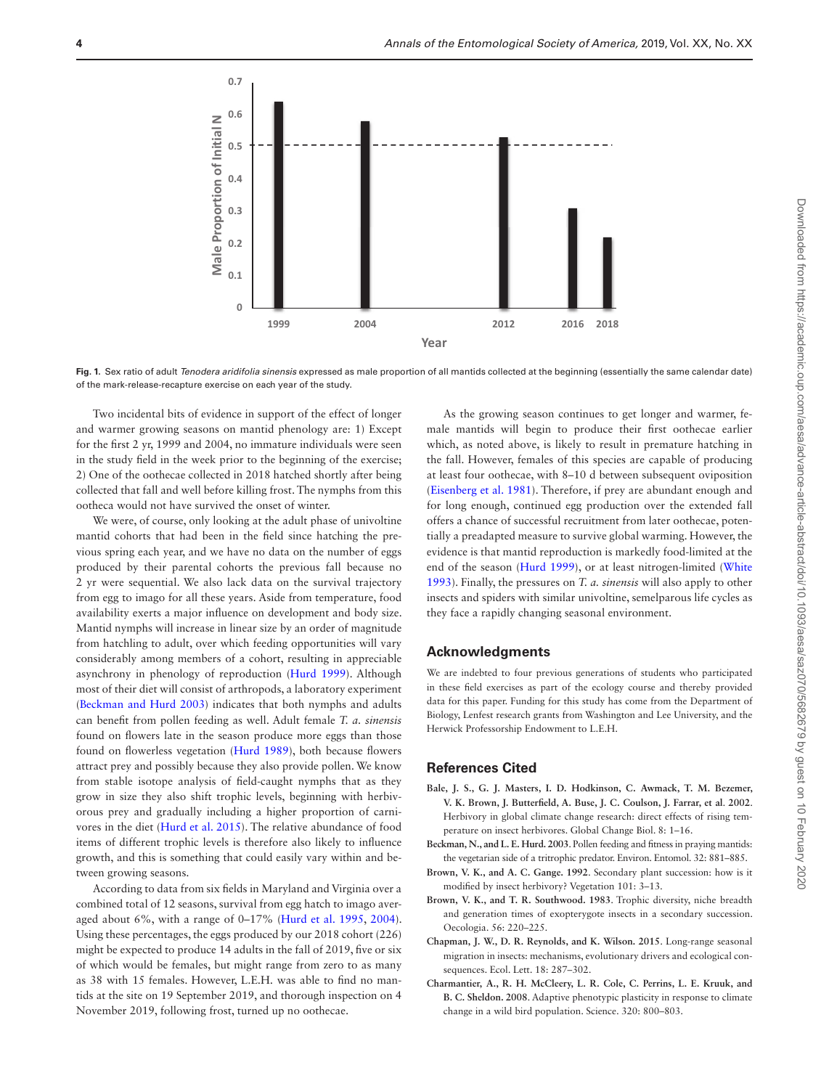

**Fig. 1.** Sex ratio of adult *Tenodera aridifolia sinensis* expressed as male proportion of all mantids collected at the beginning (essentially the same calendar date) of the mark-release-recapture exercise on each year of the study.

Two incidental bits of evidence in support of the effect of longer and warmer growing seasons on mantid phenology are: 1) Except for the first 2 yr, 1999 and 2004, no immature individuals were seen in the study field in the week prior to the beginning of the exercise; 2) One of the oothecae collected in 2018 hatched shortly after being collected that fall and well before killing frost. The nymphs from this ootheca would not have survived the onset of winter.

We were, of course, only looking at the adult phase of univoltine mantid cohorts that had been in the field since hatching the previous spring each year, and we have no data on the number of eggs produced by their parental cohorts the previous fall because no 2 yr were sequential. We also lack data on the survival trajectory from egg to imago for all these years. Aside from temperature, food availability exerts a major influence on development and body size. Mantid nymphs will increase in linear size by an order of magnitude from hatchling to adult, over which feeding opportunities will vary considerably among members of a cohort, resulting in appreciable asynchrony in phenology of reproduction ([Hurd 1999](#page-4-11)). Although most of their diet will consist of arthropods, a laboratory experiment [\(Beckman and Hurd 2003](#page-3-6)) indicates that both nymphs and adults can benefit from pollen feeding as well. Adult female *T. a. sinensis* found on flowers late in the season produce more eggs than those found on flowerless vegetation ([Hurd 1989](#page-4-23)), both because flowers attract prey and possibly because they also provide pollen. We know from stable isotope analysis of field-caught nymphs that as they grow in size they also shift trophic levels, beginning with herbivorous prey and gradually including a higher proportion of carnivores in the diet [\(Hurd et al. 2015](#page-4-27)). The relative abundance of food items of different trophic levels is therefore also likely to influence growth, and this is something that could easily vary within and between growing seasons.

According to data from six fields in Maryland and Virginia over a combined total of 12 seasons, survival from egg hatch to imago averaged about 6%, with a range of 0–17% ([Hurd et al. 1995](#page-4-28), [2004](#page-4-24)). Using these percentages, the eggs produced by our 2018 cohort (226) might be expected to produce 14 adults in the fall of 2019, five or six of which would be females, but might range from zero to as many as 38 with 15 females. However, L.E.H. was able to find no mantids at the site on 19 September 2019, and thorough inspection on 4 November 2019, following frost, turned up no oothecae.

<span id="page-3-5"></span>As the growing season continues to get longer and warmer, female mantids will begin to produce their first oothecae earlier which, as noted above, is likely to result in premature hatching in the fall. However, females of this species are capable of producing at least four oothecae, with 8–10 d between subsequent oviposition [\(Eisenberg et al. 1981](#page-4-29)). Therefore, if prey are abundant enough and for long enough, continued egg production over the extended fall offers a chance of successful recruitment from later oothecae, potentially a preadapted measure to survive global warming. However, the evidence is that mantid reproduction is markedly food-limited at the end of the season ([Hurd 1999\)](#page-4-11), or at least nitrogen-limited ([White](#page-4-30)  [1993](#page-4-30)). Finally, the pressures on *T. a. sinensis* will also apply to other insects and spiders with similar univoltine, semelparous life cycles as they face a rapidly changing seasonal environment.

#### **Acknowledgments**

We are indebted to four previous generations of students who participated in these field exercises as part of the ecology course and thereby provided data for this paper. Funding for this study has come from the Department of Biology, Lenfest research grants from Washington and Lee University, and the Herwick Professorship Endowment to L.E.H.

#### **References Cited**

- <span id="page-3-4"></span>**Bale, J. S., G. J. Masters, I. D. Hodkinson, C. Awmack, T. M. Bezemer, V. K. Brown, J. Butterfield, A. Buse, J. C. Coulson, J. Farrar, et al**. **2002**. Herbivory in global climate change research: direct effects of rising temperature on insect herbivores. Global Change Biol. 8: 1–16.
- <span id="page-3-6"></span>**Beckman, N., and L. E. Hurd. 2003**. Pollen feeding and fitness in praying mantids: the vegetarian side of a tritrophic predator. Environ. Entomol. 32: 881–885.
- <span id="page-3-3"></span>**Brown, V. K., and A. C. Gange. 1992**. Secondary plant succession: how is it modified by insect herbivory? Vegetation 101: 3–13.
- <span id="page-3-2"></span>**Brown, V. K., and T. R. Southwood. 1983**. Trophic diversity, niche breadth and generation times of exopterygote insects in a secondary succession. Oecologia. 56: 220–225.
- <span id="page-3-0"></span>**Chapman, J. W., D. R. Reynolds, and K. Wilson. 2015**. Long-range seasonal migration in insects: mechanisms, evolutionary drivers and ecological consequences. Ecol. Lett. 18: 287–302.
- <span id="page-3-1"></span>**Charmantier, A., R. H. McCleery, L. R. Cole, C. Perrins, L. E. Kruuk, and B. C. Sheldon. 2008**. Adaptive phenotypic plasticity in response to climate change in a wild bird population. Science. 320: 800–803.